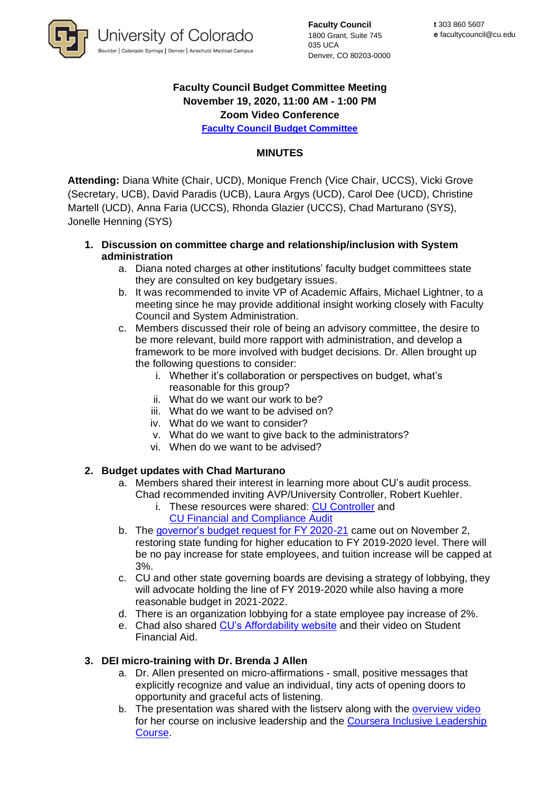

**Faculty Council** 1800 Grant, Suite 745 035 UCA Denver, CO 80203-0000

# **Faculty Council Budget Committee Meeting November 19, 2020, 11:00 AM - 1:00 PM Zoom Video Conference**

**[Faculty Council Budget Committee](https://www.cu.edu/faculty-council/committees/faculty-council-budget-committee)** 

## **MINUTES**

**Attending:** Diana White (Chair, UCD), Monique French (Vice Chair, UCCS), Vicki Grove (Secretary, UCB), David Paradis (UCB), Laura Argys (UCD), Carol Dee (UCD), Christine Martell (UCD), Anna Faria (UCCS), Rhonda Glazier (UCCS), Chad Marturano (SYS), Jonelle Henning (SYS)

### **1. Discussion on committee charge and relationship/inclusion with System administration**

- a. Diana noted charges at other institutions' faculty budget committees state they are consulted on key budgetary issues.
- b. It was recommended to invite VP of Academic Affairs, Michael Lightner, to a meeting since he may provide additional insight working closely with Faculty Council and System Administration.
- c. Members discussed their role of being an advisory committee, the desire to be more relevant, build more rapport with administration, and develop a framework to be more involved with budget decisions. Dr. Allen brought up the following questions to consider:
	- i. Whether it's collaboration or perspectives on budget, what's reasonable for this group?
	- ii. What do we want our work to be?
	- iii. What do we want to be advised on?
	- iv. What do we want to consider?
	- v. What do we want to give back to the administrators?
	- vi. When do we want to be advised?

## **2. Budget updates with Chad Marturano**

- a. Members shared their interest in learning more about CU's audit process. Chad recommended inviting AVP/University Controller, Robert Kuehler.
	- i. These resources were shared: [CU Controller](https://www.cu.edu/controller/accounting-finance-system/external-reporting) and [CU Financial and Compliance Audit](http://leg.colorado.gov/sites/default/files/documents/audits/1905f_university_of_colorado_0.pdf)
- b. The [governor's budget request for FY 2020-21](https://drive.google.com/file/d/1XWJacwoc0wvx6aqzDODe6kAsj98q6oqJ/view) came out on November 2, restoring state funding for higher education to FY 2019-2020 level. There will be no pay increase for state employees, and tuition increase will be capped at 3%.
- c. CU and other state governing boards are devising a strategy of lobbying, they will advocate holding the line of FY 2019-2020 while also having a more reasonable budget in 2021-2022.
- d. There is an organization lobbying for a state employee pay increase of 2%.
- e. Chad also shared [CU's Affordability website](https://www.cu.edu/affordability) and their video on Student Financial Aid.

#### **3. DEI micro-training with Dr. Brenda J Allen**

- a. Dr. Allen presented on micro-affirmations small, positive messages that explicitly recognize and value an individual, tiny acts of opening doors to opportunity and graceful acts of listening.
- b. The presentation was shared with the listserv along with the [overview video](https://youtu.be/yauiJ8vIcWg) for her course on inclusive leadership and the [Coursera Inclusive Leadership](https://www.coursera.org/learn/inclusiveleadership?)  [Course](https://www.coursera.org/learn/inclusiveleadership?).